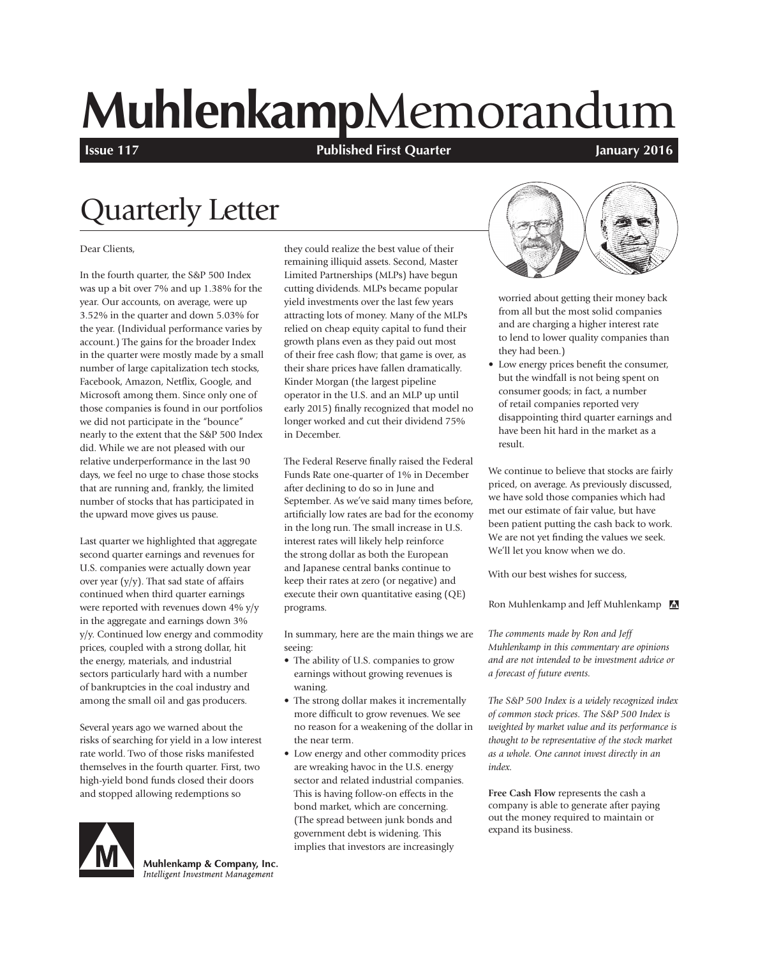# **Muhlenkamp**Memorandum

**Issue 117 In the Industry 2016 Published First Quarter Intervalse Construction Construction Construction Construction** 

## Quarterly Letter

#### Dear Clients,

In the fourth quarter, the S&P 500 Index was up a bit over 7% and up 1.38% for the year. Our accounts, on average, were up 3.52% in the quarter and down 5.03% for the year. (Individual performance varies by account.) The gains for the broader Index in the quarter were mostly made by a small number of large capitalization tech stocks, Facebook, Amazon, Netflix, Google, and Microsoft among them. Since only one of those companies is found in our portfolios we did not participate in the "bounce" nearly to the extent that the S&P 500 Index did. While we are not pleased with our relative underperformance in the last 90 days, we feel no urge to chase those stocks that are running and, frankly, the limited number of stocks that has participated in the upward move gives us pause.

Last quarter we highlighted that aggregate second quarter earnings and revenues for U.S. companies were actually down year over year (y/y). That sad state of affairs continued when third quarter earnings were reported with revenues down 4% y/y in the aggregate and earnings down 3% y/y. Continued low energy and commodity prices, coupled with a strong dollar, hit the energy, materials, and industrial sectors particularly hard with a number of bankruptcies in the coal industry and among the small oil and gas producers.

Several years ago we warned about the risks of searching for yield in a low interest rate world. Two of those risks manifested themselves in the fourth quarter. First, two high-yield bond funds closed their doors and stopped allowing redemptions so



Muhlenkamp & Company, Inc. Intelligent Investment Management

they could realize the best value of their remaining illiquid assets. Second, Master Limited Partnerships (MLPs) have begun cutting dividends. MLPs became popular yield investments over the last few years attracting lots of money. Many of the MLPs relied on cheap equity capital to fund their growth plans even as they paid out most of their free cash flow; that game is over, as their share prices have fallen dramatically. Kinder Morgan (the largest pipeline operator in the U.S. and an MLP up until early 2015) finally recognized that model no longer worked and cut their dividend 75% in December.

The Federal Reserve finally raised the Federal Funds Rate one-quarter of 1% in December after declining to do so in June and September. As we've said many times before, artificially low rates are bad for the economy in the long run. The small increase in U.S. interest rates will likely help reinforce the strong dollar as both the European and Japanese central banks continue to keep their rates at zero (or negative) and execute their own quantitative easing (QE) programs.

In summary, here are the main things we are seeing:

- The ability of U.S. companies to grow earnings without growing revenues is waning.
- The strong dollar makes it incrementally more difficult to grow revenues. We see no reason for a weakening of the dollar in the near term.
- Low energy and other commodity prices are wreaking havoc in the U.S. energy sector and related industrial companies. This is having follow-on effects in the bond market, which are concerning. (The spread between junk bonds and government debt is widening. This implies that investors are increasingly



worried about getting their money back from all but the most solid companies and are charging a higher interest rate to lend to lower quality companies than they had been.)

• Low energy prices benefit the consumer, but the windfall is not being spent on consumer goods; in fact, a number of retail companies reported very disappointing third quarter earnings and have been hit hard in the market as a result.

We continue to believe that stocks are fairly priced, on average. As previously discussed, we have sold those companies which had met our estimate of fair value, but have been patient putting the cash back to work. We are not yet finding the values we seek. We'll let you know when we do.

With our best wishes for success,

Ron Muhlenkamp and Jeff Muhlenkamp

*The comments made by Ron and Jeff Muhlenkamp in this commentary are opinions and are not intended to be investment advice or a forecast of future events.*

*The S&P 500 Index is a widely recognized index of common stock prices. The S&P 500 Index is weighted by market value and its performance is thought to be representative of the stock market as a whole. One cannot invest directly in an index.*

**Free Cash Flow** represents the cash a company is able to generate after paying out the money required to maintain or expand its business.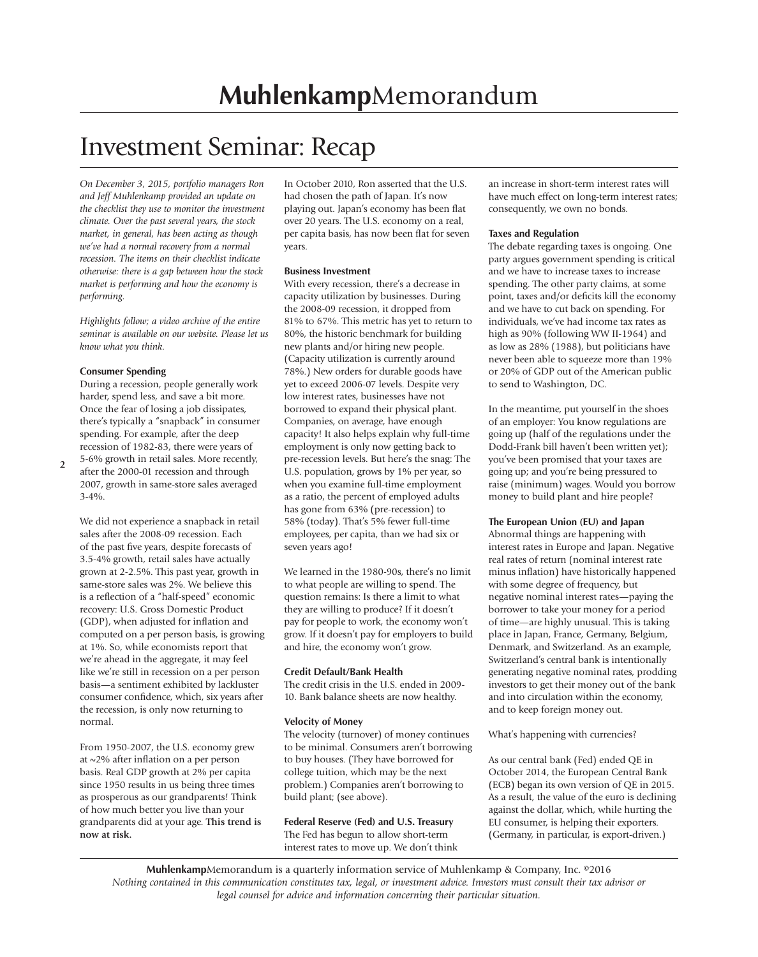### Investment Seminar: Recap

*On December 3, 2015, portfolio managers Ron and Jeff Muhlenkamp provided an update on the checklist they use to monitor the investment climate. Over the past several years, the stock market, in general, has been acting as though we've had a normal recovery from a normal recession. The items on their checklist indicate otherwise: there is a gap between how the stock market is performing and how the economy is performing.* 

*Highlights follow; a video archive of the entire seminar is available on our website. Please let us know what you think.*

#### **Consumer Spending**

During a recession, people generally work harder, spend less, and save a bit more. Once the fear of losing a job dissipates, there's typically a "snapback" in consumer spending. For example, after the deep recession of 1982-83, there were years of 5-6% growth in retail sales. More recently, after the 2000-01 recession and through

2007, growth in same-store sales averaged 3-4%.

We did not experience a snapback in retail sales after the 2008-09 recession. Each of the past five years, despite forecasts of 3.5-4% growth, retail sales have actually grown at 2-2.5%. This past year, growth in same-store sales was 2%. We believe this is a reflection of a "half-speed" economic recovery: U.S. Gross Domestic Product (GDP), when adjusted for inflation and computed on a per person basis, is growing at 1%. So, while economists report that we're ahead in the aggregate, it may feel like we're still in recession on a per person basis—a sentiment exhibited by lackluster consumer confidence, which, six years after the recession, is only now returning to normal.

From 1950-2007, the U.S. economy grew at  $\sim$ 2% after inflation on a per person basis. Real GDP growth at 2% per capita since 1950 results in us being three times as prosperous as our grandparents! Think of how much better you live than your grandparents did at your age. **This trend is now at risk.**

In October 2010, Ron asserted that the U.S. had chosen the path of Japan. It's now playing out. Japan's economy has been flat over 20 years. The U.S. economy on a real, per capita basis, has now been flat for seven years.

#### **Business Investment**

With every recession, there's a decrease in capacity utilization by businesses. During the 2008-09 recession, it dropped from 81% to 67%. This metric has yet to return to 80%, the historic benchmark for building new plants and/or hiring new people. (Capacity utilization is currently around 78%.) New orders for durable goods have yet to exceed 2006-07 levels. Despite very low interest rates, businesses have not borrowed to expand their physical plant. Companies, on average, have enough capacity! It also helps explain why full-time employment is only now getting back to pre-recession levels. But here's the snag: The U.S. population, grows by 1% per year, so when you examine full-time employment as a ratio, the percent of employed adults has gone from 63% (pre-recession) to 58% (today). That's 5% fewer full-time employees, per capita, than we had six or seven years ago!

We learned in the 1980-90s, there's no limit to what people are willing to spend. The question remains: Is there a limit to what they are willing to produce? If it doesn't pay for people to work, the economy won't grow. If it doesn't pay for employers to build and hire, the economy won't grow.

#### **Credit Default/Bank Health**

The credit crisis in the U.S. ended in 2009- 10. Bank balance sheets are now healthy.

#### **Velocity of Money**

The velocity (turnover) of money continues to be minimal. Consumers aren't borrowing to buy houses. (They have borrowed for college tuition, which may be the next problem.) Companies aren't borrowing to build plant; (see above).

#### **Federal Reserve (Fed) and U.S. Treasury**

The Fed has begun to allow short-term interest rates to move up. We don't think an increase in short-term interest rates will have much effect on long-term interest rates; consequently, we own no bonds.

#### **Taxes and Regulation**

The debate regarding taxes is ongoing. One party argues government spending is critical and we have to increase taxes to increase spending. The other party claims, at some point, taxes and/or deficits kill the economy and we have to cut back on spending. For individuals, we've had income tax rates as high as 90% (following WW II-1964) and as low as 28% (1988), but politicians have never been able to squeeze more than 19% or 20% of GDP out of the American public to send to Washington, DC.

In the meantime, put yourself in the shoes of an employer: You know regulations are going up (half of the regulations under the Dodd-Frank bill haven't been written yet); you've been promised that your taxes are going up; and you're being pressured to raise (minimum) wages. Would you borrow money to build plant and hire people?

#### **The European Union (EU) and Japan**

Abnormal things are happening with interest rates in Europe and Japan. Negative real rates of return (nominal interest rate minus inflation) have historically happened with some degree of frequency, but negative nominal interest rates—paying the borrower to take your money for a period of time—are highly unusual. This is taking place in Japan, France, Germany, Belgium, Denmark, and Switzerland. As an example, Switzerland's central bank is intentionally generating negative nominal rates, prodding investors to get their money out of the bank and into circulation within the economy, and to keep foreign money out.

#### What's happening with currencies?

As our central bank (Fed) ended QE in October 2014, the European Central Bank (ECB) began its own version of QE in 2015. As a result, the value of the euro is declining against the dollar, which, while hurting the EU consumer, is helping their exporters. (Germany, in particular, is export-driven.)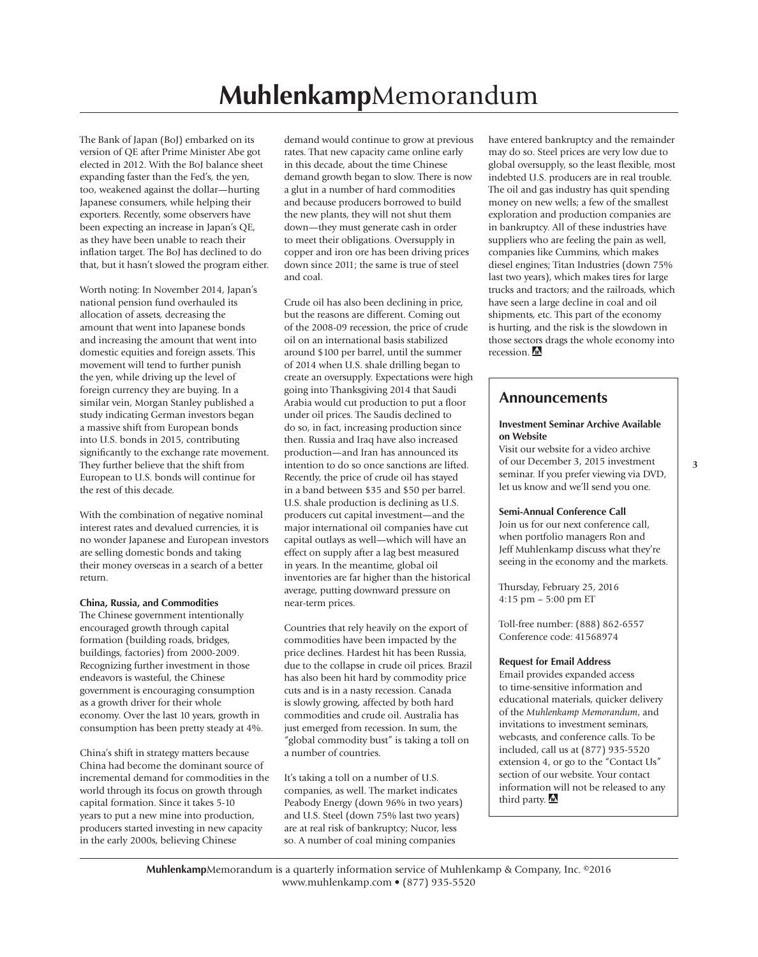The Bank of Japan (BoJ) embarked on its version of QE after Prime Minister Abe got elected in 2012. With the BoJ balance sheet expanding faster than the Fed's, the yen, too, weakened against the dollar—hurting Japanese consumers, while helping their exporters. Recently, some observers have been expecting an increase in Japan's QE, as they have been unable to reach their inflation target. The BoJ has declined to do that, but it hasn't slowed the program either.

Worth noting: In November 2014, Japan's national pension fund overhauled its allocation of assets, decreasing the amount that went into Japanese bonds and increasing the amount that went into domestic equities and foreign assets. This movement will tend to further punish the yen, while driving up the level of foreign currency they are buying. In a similar vein, Morgan Stanley published a study indicating German investors began a massive shift from European bonds into U.S. bonds in 2015, contributing significantly to the exchange rate movement. They further believe that the shift from European to U.S. bonds will continue for the rest of this decade.

With the combination of negative nominal interest rates and devalued currencies, it is no wonder Japanese and European investors are selling domestic bonds and taking their money overseas in a search of a better return.

#### **China, Russia, and Commodities**

The Chinese government intentionally encouraged growth through capital formation (building roads, bridges, buildings, factories) from 2000-2009. Recognizing further investment in those endeavors is wasteful, the Chinese government is encouraging consumption as a growth driver for their whole economy. Over the last 10 years, growth in consumption has been pretty steady at 4%.

China's shift in strategy matters because China had become the dominant source of incremental demand for commodities in the world through its focus on growth through capital formation. Since it takes 5-10 years to put a new mine into production, producers started investing in new capacity in the early 2000s, believing Chinese

demand would continue to grow at previous rates. That new capacity came online early in this decade, about the time Chinese demand growth began to slow. There is now a glut in a number of hard commodities and because producers borrowed to build the new plants, they will not shut them down—they must generate cash in order to meet their obligations. Oversupply in copper and iron ore has been driving prices down since 2011; the same is true of steel and coal.

Crude oil has also been declining in price, but the reasons are different. Coming out of the 2008-09 recession, the price of crude oil on an international basis stabilized around \$100 per barrel, until the summer of 2014 when U.S. shale drilling began to create an oversupply. Expectations were high going into Thanksgiving 2014 that Saudi Arabia would cut production to put a floor under oil prices. The Saudis declined to do so, in fact, increasing production since then. Russia and Iraq have also increased production—and Iran has announced its intention to do so once sanctions are lifted. Recently, the price of crude oil has stayed in a band between \$35 and \$50 per barrel. U.S. shale production is declining as U.S. producers cut capital investment—and the major international oil companies have cut capital outlays as well—which will have an effect on supply after a lag best measured in years. In the meantime, global oil inventories are far higher than the historical average, putting downward pressure on near-term prices.

Countries that rely heavily on the export of commodities have been impacted by the price declines. Hardest hit has been Russia, due to the collapse in crude oil prices. Brazil has also been hit hard by commodity price cuts and is in a nasty recession. Canada is slowly growing, affected by both hard commodities and crude oil. Australia has just emerged from recession. In sum, the "global commodity bust" is taking a toll on a number of countries.

It's taking a toll on a number of U.S. companies, as well. The market indicates Peabody Energy (down 96% in two years) and U.S. Steel (down 75% last two years) are at real risk of bankruptcy; Nucor, less so. A number of coal mining companies

have entered bankruptcy and the remainder may do so. Steel prices are very low due to global oversupply, so the least flexible, most indebted U.S. producers are in real trouble. The oil and gas industry has quit spending money on new wells; a few of the smallest exploration and production companies are in bankruptcy. All of these industries have suppliers who are feeling the pain as well, companies like Cummins, which makes diesel engines; Titan Industries (down 75% last two years), which makes tires for large trucks and tractors; and the railroads, which have seen a large decline in coal and oil shipments, etc. This part of the economy is hurting, and the risk is the slowdown in those sectors drags the whole economy into recession.  $\triangle$ 

#### **Announcements**

#### **Investment Seminar Archive Available on Website**

Visit our website for a video archive of our December 3, 2015 investment seminar. If you prefer viewing via DVD, let us know and we'll send you one.

#### **Semi-Annual Conference Call**

Join us for our next conference call, when portfolio managers Ron and Jeff Muhlenkamp discuss what they're seeing in the economy and the markets.

Thursday, February 25, 2016 4:15 pm – 5:00 pm ET

Toll-free number: (888) 862-6557 Conference code: 41568974

#### **Request for Email Address**

Email provides expanded access to time-sensitive information and educational materials, quicker delivery of the *Muhlenkamp Memorandum*, and invitations to investment seminars, webcasts, and conference calls. To be included, call us at (877) 935-5520 extension 4, or go to the "Contact Us" section of our website. Your contact information will not be released to any third party.  $\blacksquare$